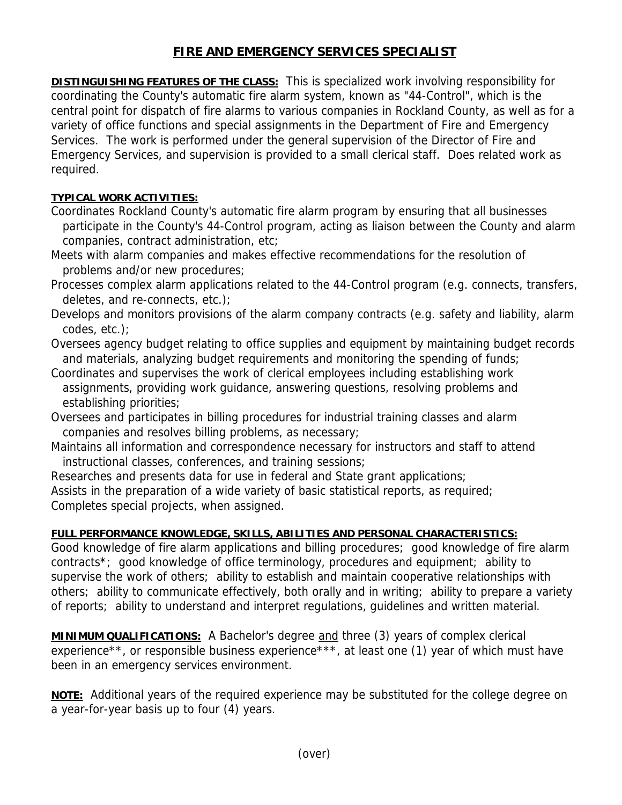## **FIRE AND EMERGENCY SERVICES SPECIALIST**

**DISTINGUISHING FEATURES OF THE CLASS:** This is specialized work involving responsibility for coordinating the County's automatic fire alarm system, known as "44-Control", which is the central point for dispatch of fire alarms to various companies in Rockland County, as well as for a variety of office functions and special assignments in the Department of Fire and Emergency Services. The work is performed under the general supervision of the Director of Fire and Emergency Services, and supervision is provided to a small clerical staff. Does related work as required.

## **TYPICAL WORK ACTIVITIES:**

- Coordinates Rockland County's automatic fire alarm program by ensuring that all businesses participate in the County's 44-Control program, acting as liaison between the County and alarm companies, contract administration, etc;
- Meets with alarm companies and makes effective recommendations for the resolution of problems and/or new procedures;
- Processes complex alarm applications related to the 44-Control program (e.g. connects, transfers, deletes, and re-connects, etc.);
- Develops and monitors provisions of the alarm company contracts (e.g. safety and liability, alarm codes, etc.);
- Oversees agency budget relating to office supplies and equipment by maintaining budget records and materials, analyzing budget requirements and monitoring the spending of funds;
- Coordinates and supervises the work of clerical employees including establishing work assignments, providing work guidance, answering questions, resolving problems and establishing priorities;
- Oversees and participates in billing procedures for industrial training classes and alarm companies and resolves billing problems, as necessary;
- Maintains all information and correspondence necessary for instructors and staff to attend instructional classes, conferences, and training sessions;
- Researches and presents data for use in federal and State grant applications;

Assists in the preparation of a wide variety of basic statistical reports, as required; Completes special projects, when assigned.

## **FULL PERFORMANCE KNOWLEDGE, SKILLS, ABILITIES AND PERSONAL CHARACTERISTICS:**

Good knowledge of fire alarm applications and billing procedures; good knowledge of fire alarm contracts\*; good knowledge of office terminology, procedures and equipment; ability to supervise the work of others; ability to establish and maintain cooperative relationships with others; ability to communicate effectively, both orally and in writing; ability to prepare a variety of reports; ability to understand and interpret regulations, guidelines and written material.

**MINIMUM QUALIFICATIONS:** A Bachelor's degree and three (3) years of complex clerical experience\*\*, or responsible business experience\*\*\*, at least one (1) year of which must have been in an emergency services environment.

**NOTE:** Additional years of the required experience may be substituted for the college degree on a year-for-year basis up to four (4) years.